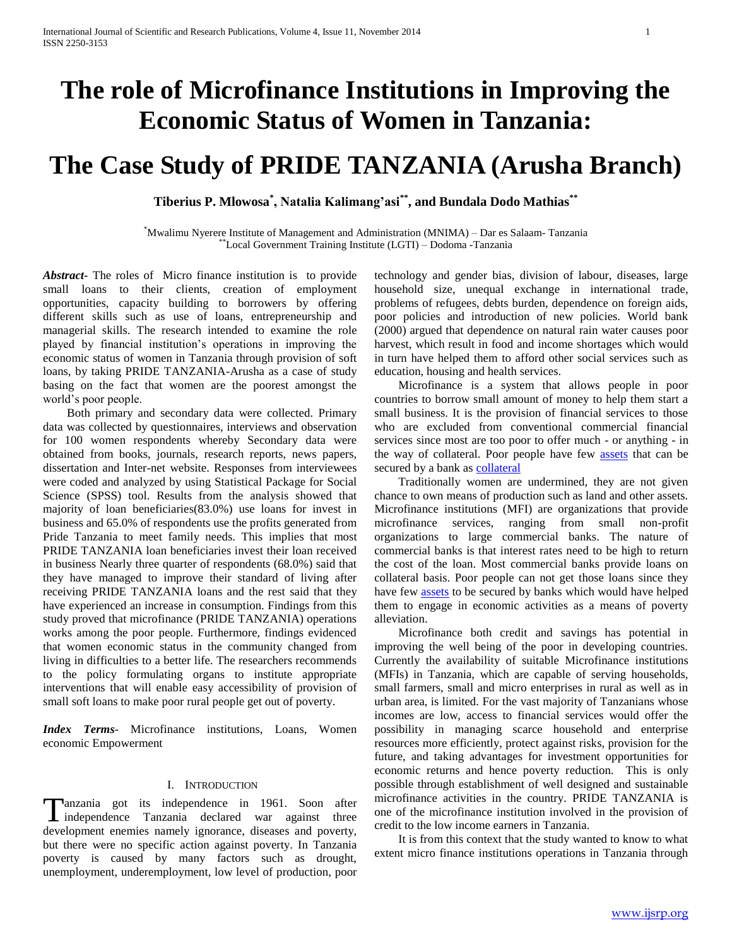# **The role of Microfinance Institutions in Improving the Economic Status of Women in Tanzania:**

# **The Case Study of PRIDE TANZANIA (Arusha Branch)**

**Tiberius P. Mlowosa\* , Natalia Kalimang'asi\*\*, and Bundala Dodo Mathias\*\***

\*Mwalimu Nyerere Institute of Management and Administration (MNIMA) – Dar es Salaam- Tanzania \*\*Local Government Training Institute (LGTI) – Dodoma -Tanzania

*Abstract***-** The roles of Micro finance institution is to provide small loans to their clients, creation of employment opportunities, capacity building to borrowers by offering different skills such as use of loans, entrepreneurship and managerial skills. The research intended to examine the role played by financial institution's operations in improving the economic status of women in Tanzania through provision of soft loans, by taking PRIDE TANZANIA-Arusha as a case of study basing on the fact that women are the poorest amongst the world's poor people.

 Both primary and secondary data were collected. Primary data was collected by questionnaires, interviews and observation for 100 women respondents whereby Secondary data were obtained from books, journals, research reports, news papers, dissertation and Inter-net website. Responses from interviewees were coded and analyzed by using Statistical Package for Social Science (SPSS) tool. Results from the analysis showed that majority of loan beneficiaries(83.0%) use loans for invest in business and 65.0% of respondents use the profits generated from Pride Tanzania to meet family needs. This implies that most PRIDE TANZANIA loan beneficiaries invest their loan received in business Nearly three quarter of respondents (68.0%) said that they have managed to improve their standard of living after receiving PRIDE TANZANIA loans and the rest said that they have experienced an increase in consumption. Findings from this study proved that microfinance (PRIDE TANZANIA) operations works among the poor people. Furthermore, findings evidenced that women economic status in the community changed from living in difficulties to a better life. The researchers recommends to the policy formulating organs to institute appropriate interventions that will enable easy accessibility of provision of small soft loans to make poor rural people get out of poverty.

*Index Terms*- Microfinance institutions, Loans, Women economic Empowerment

## I. INTRODUCTION

anzania got its independence in 1961. Soon after Tanzania got its independence in 1961. Soon after<br>independence Tanzania declared war against three development enemies namely ignorance, diseases and poverty, but there were no specific action against poverty. In Tanzania poverty is caused by many factors such as drought, unemployment, underemployment, low level of production, poor

technology and gender bias, division of labour, diseases, large household size, unequal exchange in international trade, problems of refugees, debts burden, dependence on foreign aids, poor policies and introduction of new policies. World bank (2000) argued that dependence on natural rain water causes poor harvest, which result in food and income shortages which would in turn have helped them to afford other social services such as education, housing and health services.

 Microfinance is a system that allows people in poor countries to borrow small amount of money to help them start a small business. It is the provision of financial services to those who are excluded from conventional commercial financial services since most are too poor to offer much - or anything - in the way of collateral. Poor people have few **assets** that can be secured by a bank as [collateral](http://en.wikipedia.org/wiki/Collateral_(finance))

 Traditionally women are undermined, they are not given chance to own means of production such as land and other assets. Microfinance institutions (MFI) are organizations that provide microfinance services, ranging from small non-profit organizations to large commercial banks. The nature of commercial banks is that interest rates need to be high to return the cost of the loan. Most commercial banks provide loans on collateral basis. Poor people can not get those loans since they have few [assets](http://en.wikipedia.org/wiki/Assets) to be secured by banks which would have helped them to engage in economic activities as a means of poverty alleviation.

 Microfinance both credit and savings has potential in improving the well being of the poor in developing countries. Currently the availability of suitable Microfinance institutions (MFIs) in Tanzania, which are capable of serving households, small farmers, small and micro enterprises in rural as well as in urban area, is limited. For the vast majority of Tanzanians whose incomes are low, access to financial services would offer the possibility in managing scarce household and enterprise resources more efficiently, protect against risks, provision for the future, and taking advantages for investment opportunities for economic returns and hence poverty reduction. This is only possible through establishment of well designed and sustainable microfinance activities in the country. PRIDE TANZANIA is one of the microfinance institution involved in the provision of credit to the low income earners in Tanzania.

 It is from this context that the study wanted to know to what extent micro finance institutions operations in Tanzania through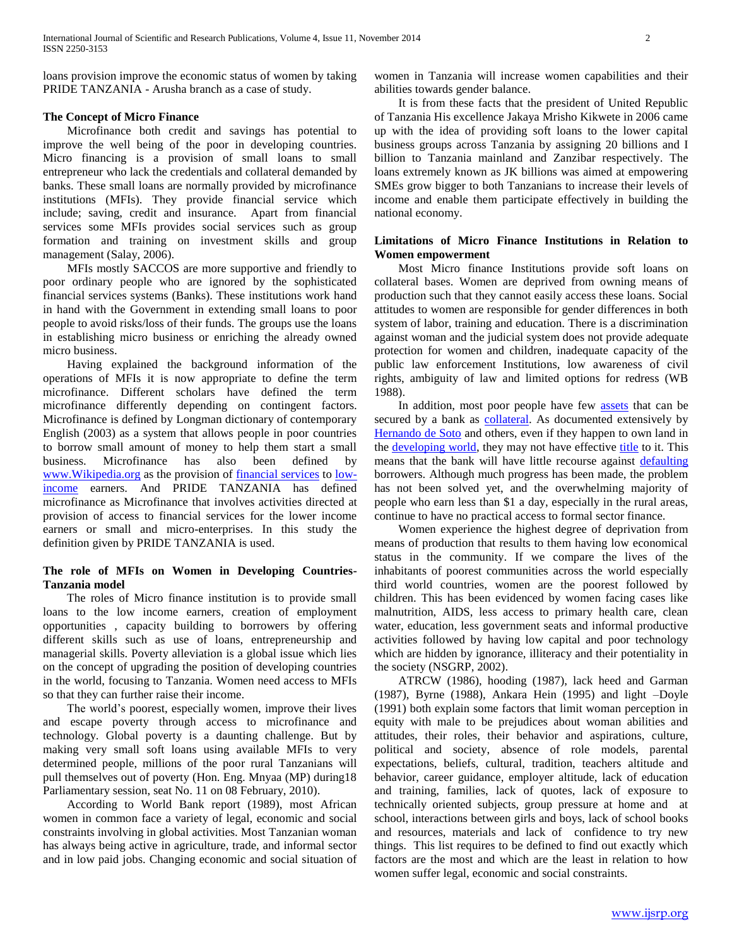loans provision improve the economic status of women by taking PRIDE TANZANIA - Arusha branch as a case of study.

## **The Concept of Micro Finance**

 Microfinance both credit and savings has potential to improve the well being of the poor in developing countries. Micro financing is a provision of small loans to small entrepreneur who lack the credentials and collateral demanded by banks. These small loans are normally provided by microfinance institutions (MFIs). They provide financial service which include; saving, credit and insurance. Apart from financial services some MFIs provides social services such as group formation and training on investment skills and group management (Salay, 2006).

 MFIs mostly SACCOS are more supportive and friendly to poor ordinary people who are ignored by the sophisticated financial services systems (Banks). These institutions work hand in hand with the Government in extending small loans to poor people to avoid risks/loss of their funds. The groups use the loans in establishing micro business or enriching the already owned micro business.

 Having explained the background information of the operations of MFIs it is now appropriate to define the term microfinance. Different scholars have defined the term microfinance differently depending on contingent factors. Microfinance is defined by Longman dictionary of contemporary English (2003) as a system that allows people in poor countries to borrow small amount of money to help them start a small business. Microfinance has also been defined by [www.Wikipedia.org](http://www.wikipedia.org/) as the provision of [financial services](http://en.wikipedia.org/wiki/Financial_services) to [low](http://en.wikipedia.org/wiki/Low-income)[income](http://en.wikipedia.org/wiki/Low-income) earners. And PRIDE TANZANIA has defined microfinance as Microfinance that involves activities directed at provision of access to financial services for the lower income earners or small and micro-enterprises. In this study the definition given by PRIDE TANZANIA is used.

# **The role of MFIs on Women in Developing Countries-Tanzania model**

 The roles of Micro finance institution is to provide small loans to the low income earners, creation of employment opportunities , capacity building to borrowers by offering different skills such as use of loans, entrepreneurship and managerial skills. Poverty alleviation is a global issue which lies on the concept of upgrading the position of developing countries in the world, focusing to Tanzania. Women need access to MFIs so that they can further raise their income.

 The world's poorest, especially women, improve their lives and escape poverty through access to microfinance and technology. Global poverty is a daunting challenge. But by making very small soft loans using available MFIs to very determined people, millions of the poor rural Tanzanians will pull themselves out of poverty (Hon. Eng. Mnyaa (MP) during18 Parliamentary session, seat No. 11 on 08 February, 2010).

 According to World Bank report (1989), most African women in common face a variety of legal, economic and social constraints involving in global activities. Most Tanzanian woman has always being active in agriculture, trade, and informal sector and in low paid jobs. Changing economic and social situation of women in Tanzania will increase women capabilities and their abilities towards gender balance.

 It is from these facts that the president of United Republic of Tanzania His excellence Jakaya Mrisho Kikwete in 2006 came up with the idea of providing soft loans to the lower capital business groups across Tanzania by assigning 20 billions and I billion to Tanzania mainland and Zanzibar respectively. The loans extremely known as JK billions was aimed at empowering SMEs grow bigger to both Tanzanians to increase their levels of income and enable them participate effectively in building the national economy.

## **Limitations of Micro Finance Institutions in Relation to Women empowerment**

 Most Micro finance Institutions provide soft loans on collateral bases. Women are deprived from owning means of production such that they cannot easily access these loans. Social attitudes to women are responsible for gender differences in both system of labor, training and education. There is a discrimination against woman and the judicial system does not provide adequate protection for women and children, inadequate capacity of the public law enforcement Institutions, low awareness of civil rights, ambiguity of law and limited options for redress (WB 1988).

In addition, most poor people have few **assets** that can be secured by a bank as **collateral**. As documented extensively by [Hernando de Soto](http://en.wikipedia.org/wiki/Hernando_de_Soto_(economist)) and others, even if they happen to own land in the <u>developing world</u>, they may not have effective [title](http://en.wikipedia.org/wiki/Title_(property)) to it. This means that the bank will have little recourse against [defaulting](http://en.wikipedia.org/wiki/Default_(finance)) borrowers. Although much progress has been made, the problem has not been solved yet, and the overwhelming majority of people who earn less than \$1 a day, especially in the rural areas, continue to have no practical access to formal sector finance.

 Women experience the highest degree of deprivation from means of production that results to them having low economical status in the community. If we compare the lives of the inhabitants of poorest communities across the world especially third world countries, women are the poorest followed by children. This has been evidenced by women facing cases like malnutrition, AIDS, less access to primary health care, clean water, education, less government seats and informal productive activities followed by having low capital and poor technology which are hidden by ignorance, illiteracy and their potentiality in the society (NSGRP, 2002).

 ATRCW (1986), hooding (1987), lack heed and Garman (1987), Byrne (1988), Ankara Hein (1995) and light –Doyle (1991) both explain some factors that limit woman perception in equity with male to be prejudices about woman abilities and attitudes, their roles, their behavior and aspirations, culture, political and society, absence of role models, parental expectations, beliefs, cultural, tradition, teachers altitude and behavior, career guidance, employer altitude, lack of education and training, families, lack of quotes, lack of exposure to technically oriented subjects, group pressure at home and at school, interactions between girls and boys, lack of school books and resources, materials and lack of confidence to try new things. This list requires to be defined to find out exactly which factors are the most and which are the least in relation to how women suffer legal, economic and social constraints.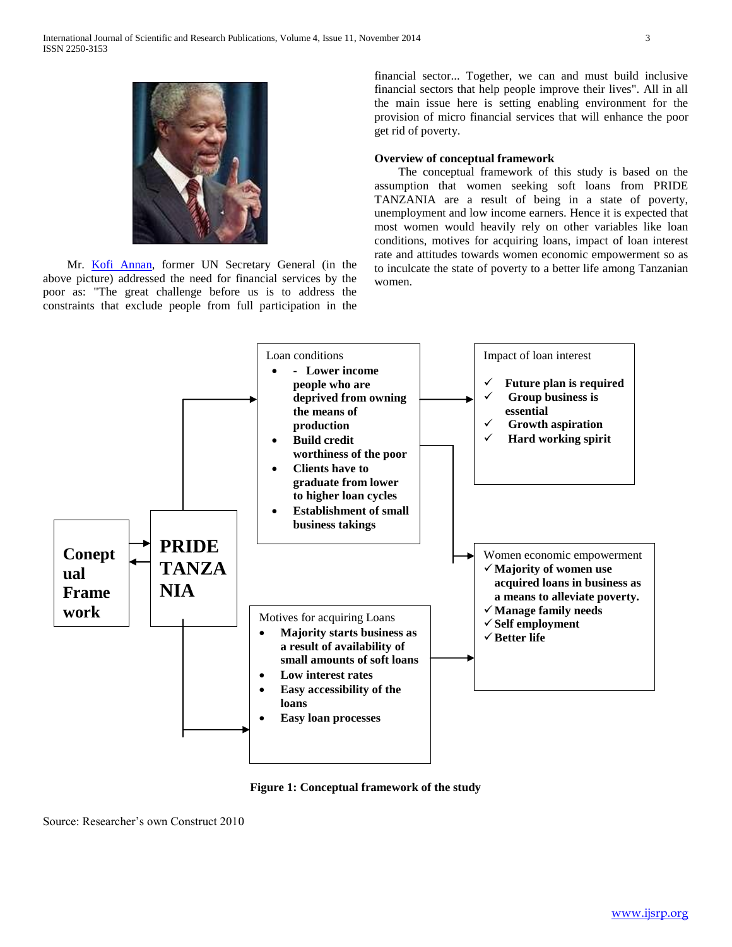

 Mr. Kofi Annan, former UN Secretary General (in the above picture) addressed the need for financial services by the poor as: "The great challenge before us is to address the constraints that exclude people from full participation in the

financial sector... Together, we can and must build inclusive financial sectors that help people improve their lives". All in all the main issue here is setting enabling environment for the provision of micro financial services that will enhance the poor get rid of poverty.

## **Overview of conceptual framework**

 The conceptual framework of this study is based on the assumption that women seeking soft loans from PRIDE TANZANIA are a result of being in a state of poverty, unemployment and low income earners. Hence it is expected that most women would heavily rely on other variables like loan conditions, motives for acquiring loans, impact of loan interest rate and attitudes towards women economic empowerment so as to inculcate the state of poverty to a better life among Tanzanian women.



**Figure 1: Conceptual framework of the study**

Source: Researcher's own Construct 2010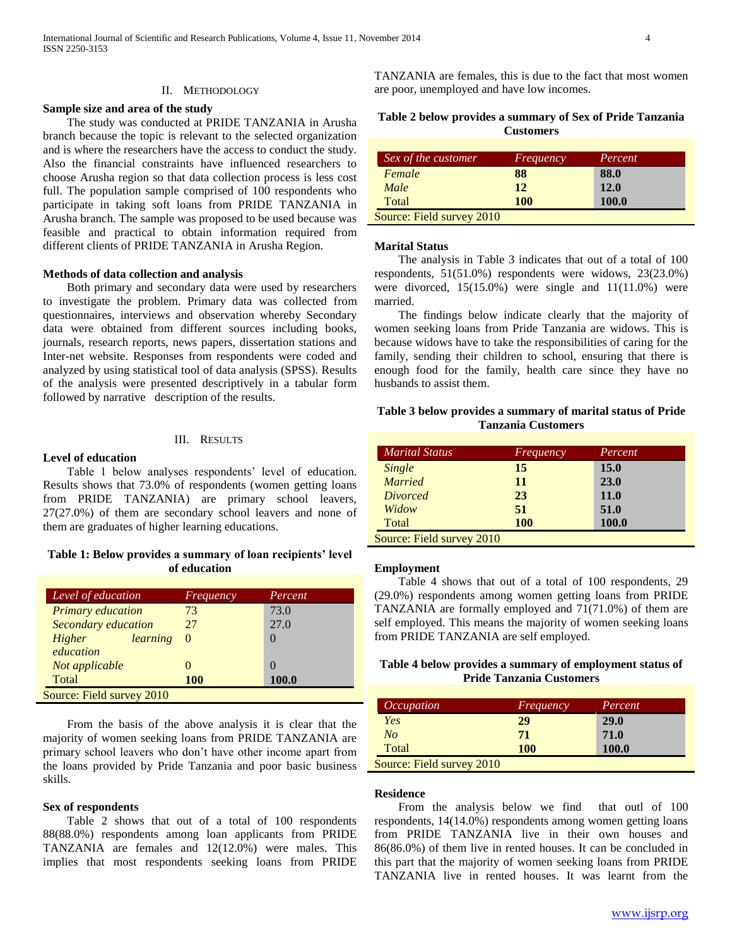#### **Sample size and area of the study**

 The study was conducted at PRIDE TANZANIA in Arusha branch because the topic is relevant to the selected organization and is where the researchers have the access to conduct the study. Also the financial constraints have influenced researchers to choose Arusha region so that data collection process is less cost full. The population sample comprised of 100 respondents who participate in taking soft loans from PRIDE TANZANIA in Arusha branch. The sample was proposed to be used because was feasible and practical to obtain information required from different clients of PRIDE TANZANIA in Arusha Region.

#### **Methods of data collection and analysis**

 Both primary and secondary data were used by researchers to investigate the problem. Primary data was collected from questionnaires, interviews and observation whereby Secondary data were obtained from different sources including books, journals, research reports, news papers, dissertation stations and Inter-net website. Responses from respondents were coded and analyzed by using statistical tool of data analysis (SPSS). Results of the analysis were presented descriptively in a tabular form followed by narrative description of the results.

#### III. RESULTS

#### **Level of education**

 Table 1 below analyses respondents' level of education. Results shows that 73.0% of respondents (women getting loans from PRIDE TANZANIA) are primary school leavers, 27(27.0%) of them are secondary school leavers and none of them are graduates of higher learning educations.

## **Table 1: Below provides a summary of loan recipients' level of education**

| Level of education         | Frequency  | Percent       |
|----------------------------|------------|---------------|
| <b>Primary</b> education   | 73         | 73.0          |
| <b>Secondary education</b> | 27         | 27.0          |
| learning<br>Higher         | $\Omega$   | $\mathcal{O}$ |
| education                  |            |               |
| Not applicable             |            |               |
| Total                      | <b>100</b> | 100.0         |
| Source: Field survey 2010  |            |               |

 From the basis of the above analysis it is clear that the majority of women seeking loans from PRIDE TANZANIA are primary school leavers who don't have other income apart from the loans provided by Pride Tanzania and poor basic business skills.

#### **Sex of respondents**

 Table 2 shows that out of a total of 100 respondents 88(88.0%) respondents among loan applicants from PRIDE TANZANIA are females and 12(12.0%) were males. This implies that most respondents seeking loans from PRIDE

TANZANIA are females, this is due to the fact that most women are poor, unemployed and have low incomes.

|  |  |                  |  | Table 2 below provides a summary of Sex of Pride Tanzania |
|--|--|------------------|--|-----------------------------------------------------------|
|  |  | <b>Customers</b> |  |                                                           |

| Sex of the customer       | Frequency  | Percent |
|---------------------------|------------|---------|
| Female                    | 88         | 88.0    |
| Male                      | 12         | 12.0    |
| Total                     | <b>100</b> | 100.0   |
| Source: Field survey 2010 |            |         |

#### **Marital Status**

 The analysis in Table 3 indicates that out of a total of 100 respondents, 51(51.0%) respondents were widows, 23(23.0%) were divorced,  $15(15.0%)$  were single and  $11(11.0%)$  were married.

 The findings below indicate clearly that the majority of women seeking loans from Pride Tanzania are widows. This is because widows have to take the responsibilities of caring for the family, sending their children to school, ensuring that there is enough food for the family, health care since they have no husbands to assist them.

## **Table 3 below provides a summary of marital status of Pride Tanzania Customers**

| <b>Marital Status</b>     | <i>Frequency</i> | Percent     |
|---------------------------|------------------|-------------|
| Single                    | 15               | <b>15.0</b> |
| <b>Married</b>            | 11               | 23.0        |
| <i>Divorced</i>           | 23               | <b>11.0</b> |
| Widow                     | 51               | 51.0        |
| Total                     | <b>100</b>       | 100.0       |
| Source: Field survey 2010 |                  |             |

#### **Employment**

 Table 4 shows that out of a total of 100 respondents, 29 (29.0%) respondents among women getting loans from PRIDE TANZANIA are formally employed and 71(71.0%) of them are self employed. This means the majority of women seeking loans from PRIDE TANZANIA are self employed.

# **Table 4 below provides a summary of employment status of Pride Tanzania Customers**

| <i>Occupation</i>         | Frequency  | Percent     |
|---------------------------|------------|-------------|
| Yes                       | 29         | <b>29.0</b> |
| No                        | 71         | 71.0        |
| Total                     | <b>100</b> | 100.0       |
| Source: Field survey 2010 |            |             |

#### **Residence**

 From the analysis below we find that outl of 100 respondents, 14(14.0%) respondents among women getting loans from PRIDE TANZANIA live in their own houses and 86(86.0%) of them live in rented houses. It can be concluded in this part that the majority of women seeking loans from PRIDE TANZANIA live in rented houses. It was learnt from the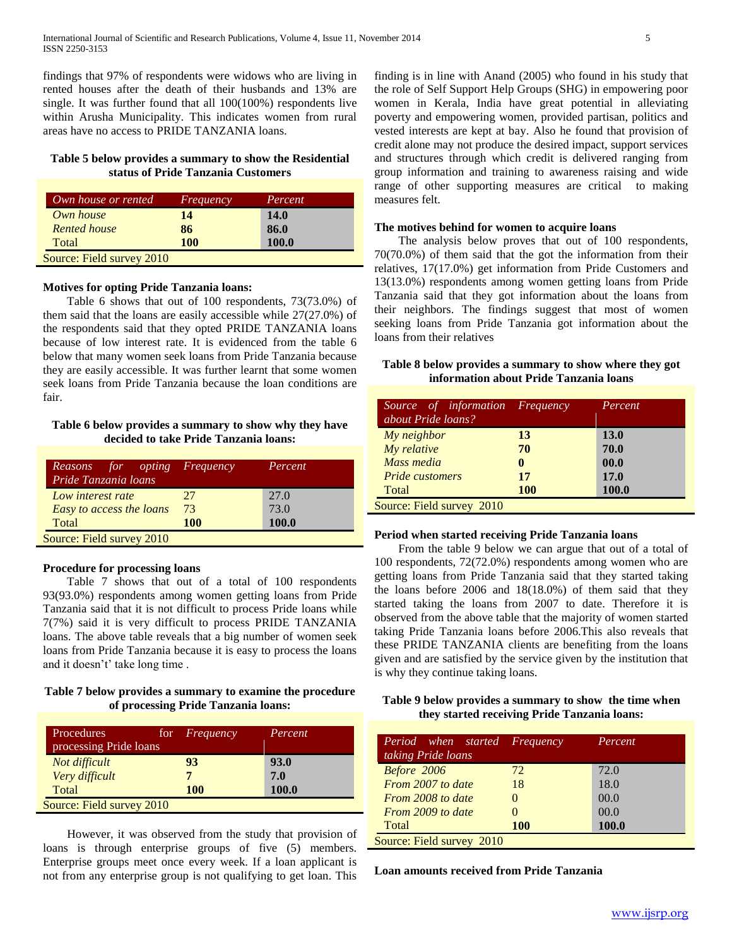findings that 97% of respondents were widows who are living in rented houses after the death of their husbands and 13% are single. It was further found that all 100(100%) respondents live within Arusha Municipality. This indicates women from rural areas have no access to PRIDE TANZANIA loans.

## **Table 5 below provides a summary to show the Residential status of Pride Tanzania Customers**

| Own house or rented       | Frequency  | Percent     |
|---------------------------|------------|-------------|
| Own house                 | 14         | <b>14.0</b> |
| <b>Rented house</b>       | 86         | 86.0        |
| Total                     | <b>100</b> | 100.0       |
| Source: Field survey 2010 |            |             |

#### **Motives for opting Pride Tanzania loans:**

 Table 6 shows that out of 100 respondents, 73(73.0%) of them said that the loans are easily accessible while 27(27.0%) of the respondents said that they opted PRIDE TANZANIA loans because of low interest rate. It is evidenced from the table 6 below that many women seek loans from Pride Tanzania because they are easily accessible. It was further learnt that some women seek loans from Pride Tanzania because the loan conditions are fair.

## **Table 6 below provides a summary to show why they have decided to take Pride Tanzania loans:**

| <i>for opting Frequency</i><br>Reasons<br>Pride Tanzania loans |            | Percent      |
|----------------------------------------------------------------|------------|--------------|
| Low interest rate                                              | 27         | 27.0         |
| Easy to access the loans                                       | 73         | 73.0         |
| Total                                                          | <b>100</b> | <b>100.0</b> |
| Source: Field survey 2010                                      |            |              |

## **Procedure for processing loans**

 Table 7 shows that out of a total of 100 respondents 93(93.0%) respondents among women getting loans from Pride Tanzania said that it is not difficult to process Pride loans while 7(7%) said it is very difficult to process PRIDE TANZANIA loans. The above table reveals that a big number of women seek loans from Pride Tanzania because it is easy to process the loans and it doesn't' take long time .

## **Table 7 below provides a summary to examine the procedure of processing Pride Tanzania loans:**

| Procedures                | for | Frequency | Percent      |
|---------------------------|-----|-----------|--------------|
| processing Pride loans    |     |           |              |
| Not difficult             |     | 93        | 93.0         |
| Very difficult            |     |           | 7.0          |
| Total                     |     | 100       | <b>100.0</b> |
| Source: Field survey 2010 |     |           |              |

 However, it was observed from the study that provision of loans is through enterprise groups of five (5) members. Enterprise groups meet once every week. If a loan applicant is not from any enterprise group is not qualifying to get loan. This

finding is in line with Anand (2005) who found in his study that the role of Self Support Help Groups (SHG) in empowering poor women in Kerala, India have great potential in alleviating poverty and empowering women, provided partisan, politics and vested interests are kept at bay. Also he found that provision of credit alone may not produce the desired impact, support services and structures through which credit is delivered ranging from group information and training to awareness raising and wide range of other supporting measures are critical to making measures felt.

#### **The motives behind for women to acquire loans**

 The analysis below proves that out of 100 respondents, 70(70.0%) of them said that the got the information from their relatives, 17(17.0%) get information from Pride Customers and 13(13.0%) respondents among women getting loans from Pride Tanzania said that they got information about the loans from their neighbors. The findings suggest that most of women seeking loans from Pride Tanzania got information about the loans from their relatives

# **Table 8 below provides a summary to show where they got information about Pride Tanzania loans**

| Source of information Frequency<br>about Pride loans? |            | Percent     |
|-------------------------------------------------------|------------|-------------|
| My neighbor                                           | 13         | <b>13.0</b> |
| My relative                                           | 70         | 70.0        |
| Mass media                                            | 0          | 00.0        |
| <b>Pride customers</b>                                | 17         | 17.0        |
| Total                                                 | <b>100</b> | 100.0       |
| Source: Field survey 2010                             |            |             |

# **Period when started receiving Pride Tanzania loans**

 From the table 9 below we can argue that out of a total of 100 respondents, 72(72.0%) respondents among women who are getting loans from Pride Tanzania said that they started taking the loans before 2006 and 18(18.0%) of them said that they started taking the loans from 2007 to date. Therefore it is observed from the above table that the majority of women started taking Pride Tanzania loans before 2006.This also reveals that these PRIDE TANZANIA clients are benefiting from the loans given and are satisfied by the service given by the institution that is why they continue taking loans.

## **Table 9 below provides a summary to show the time when they started receiving Pride Tanzania loans:**

| Period when started Frequency<br>taking Pride loans |            | Percent |
|-----------------------------------------------------|------------|---------|
| Before 2006                                         | 72         | 72.0    |
| From 2007 to date                                   | 18         | 18.0    |
| From 2008 to date                                   |            | 00.0    |
| From 2009 to date                                   |            | 00.0    |
| Total                                               | <b>100</b> | 100.0   |
| Source: Field survey 2010                           |            |         |

**Loan amounts received from Pride Tanzania**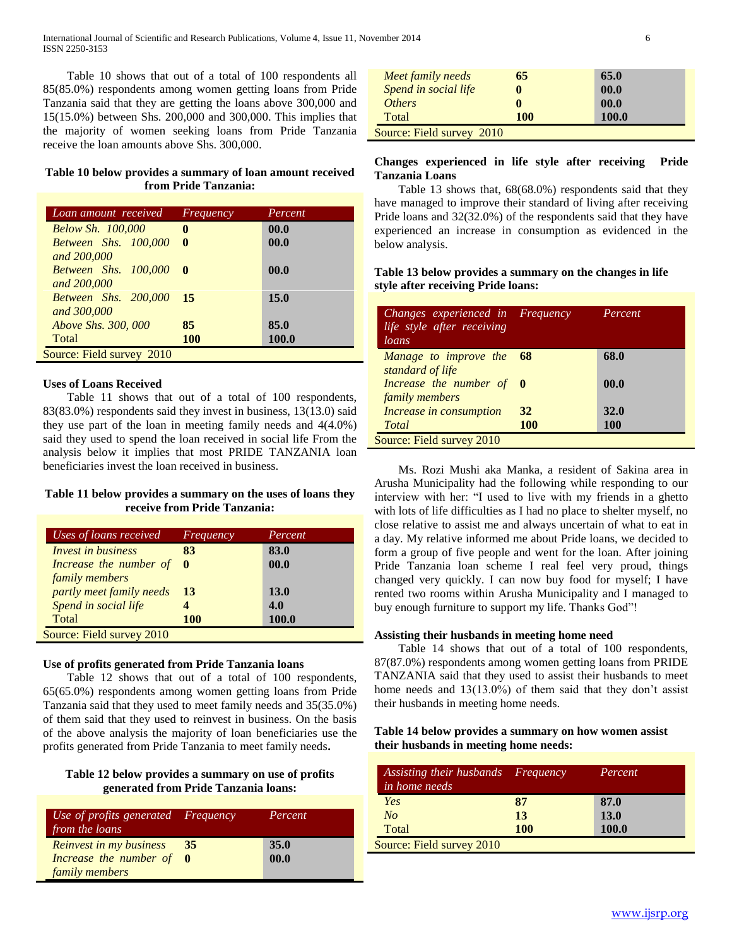Table 10 shows that out of a total of 100 respondents all 85(85.0%) respondents among women getting loans from Pride Tanzania said that they are getting the loans above 300,000 and 15(15.0%) between Shs. 200,000 and 300,000. This implies that the majority of women seeking loans from Pride Tanzania receive the loan amounts above Shs. 300,000.

# **Table 10 below provides a summary of loan amount received from Pride Tanzania:**

| Loan amount received          | Frequency    | Percent      |
|-------------------------------|--------------|--------------|
| <b>Below Sh. 100,000</b>      | 0            | 00.0         |
| <b>Between Shs. 100,000</b>   | $\mathbf{0}$ | 00.0         |
| and 200,000                   |              |              |
| <b>Between Shs. 100,000 0</b> |              | 00.0         |
| and 200,000                   |              |              |
| Between Shs. 200,000 15       |              | 15.0         |
| and 300,000                   |              |              |
| <i>Above Shs. 300, 000</i>    | 85           | 85.0         |
| Total                         | <b>100</b>   | <b>100.0</b> |
| Source: Field survey 2010     |              |              |

#### **Uses of Loans Received**

 Table 11 shows that out of a total of 100 respondents, 83(83.0%) respondents said they invest in business, 13(13.0) said they use part of the loan in meeting family needs and 4(4.0%) said they used to spend the loan received in social life From the analysis below it implies that most PRIDE TANZANIA loan beneficiaries invest the loan received in business.

## **Table 11 below provides a summary on the uses of loans they receive from Pride Tanzania:**

| Uses of loans received    | Frequency  | Percent     |
|---------------------------|------------|-------------|
| <i>Invest in business</i> | 83         | 83.0        |
| Increase the number of    | 0          | 00.0        |
| family members            |            |             |
| partly meet family needs  | 13         | <b>13.0</b> |
| Spend in social life      |            | 4.0         |
| Total                     | <b>100</b> | 100.0       |
| Source: Field survey 2010 |            |             |

#### **Use of profits generated from Pride Tanzania loans**

 Table 12 shows that out of a total of 100 respondents, 65(65.0%) respondents among women getting loans from Pride Tanzania said that they used to meet family needs and 35(35.0%) of them said that they used to reinvest in business. On the basis of the above analysis the majority of loan beneficiaries use the profits generated from Pride Tanzania to meet family needs**.**

## **Table 12 below provides a summary on use of profits generated from Pride Tanzania loans:**

| Use of profits generated Frequency<br>from the loans |    | Percent     |
|------------------------------------------------------|----|-------------|
| <b>Reinvest in my business</b>                       | 35 | <b>35.0</b> |
| Increase the number of 0                             |    | 00.0        |
| family members                                       |    |             |

| Meet family needs         | 65  | 65.0  |  |
|---------------------------|-----|-------|--|
| Spend in social life      |     | 00.0  |  |
| <i>Others</i>             |     | 00.0  |  |
| Total                     | 100 | 100.0 |  |
| Source: Field survey 2010 |     |       |  |

# **Changes experienced in life style after receiving Pride Tanzania Loans**

 Table 13 shows that, 68(68.0%) respondents said that they have managed to improve their standard of living after receiving Pride loans and 32(32.0%) of the respondents said that they have experienced an increase in consumption as evidenced in the below analysis.

# **Table 13 below provides a summary on the changes in life style after receiving Pride loans:**

| Changes experienced in Frequency<br>life style after receiving<br>loans |            | Percent     |
|-------------------------------------------------------------------------|------------|-------------|
| Manage to improve the 68<br>standard of life                            |            | 68.0        |
| Increase the number of $\theta$<br>family members                       |            | 00.0        |
| Increase in consumption                                                 | 32         | <b>32.0</b> |
| Total                                                                   | <b>100</b> | <b>100</b>  |
| Source: Field survey 2010                                               |            |             |

 Ms. Rozi Mushi aka Manka, a resident of Sakina area in Arusha Municipality had the following while responding to our interview with her: "I used to live with my friends in a ghetto with lots of life difficulties as I had no place to shelter myself, no close relative to assist me and always uncertain of what to eat in a day. My relative informed me about Pride loans, we decided to form a group of five people and went for the loan. After joining Pride Tanzania loan scheme I real feel very proud, things changed very quickly. I can now buy food for myself; I have rented two rooms within Arusha Municipality and I managed to buy enough furniture to support my life. Thanks God"!

#### **Assisting their husbands in meeting home need**

 Table 14 shows that out of a total of 100 respondents, 87(87.0%) respondents among women getting loans from PRIDE TANZANIA said that they used to assist their husbands to meet home needs and 13(13.0%) of them said that they don't assist their husbands in meeting home needs.

#### **Table 14 below provides a summary on how women assist their husbands in meeting home needs:**

| Assisting their husbands Frequency<br><i>in home needs</i> |            | Percent      |
|------------------------------------------------------------|------------|--------------|
| Yes                                                        | 87         | 87.0         |
| No                                                         | 13         | <b>13.0</b>  |
| Total                                                      | <b>100</b> | <b>100.0</b> |
| Source: Field survey 2010                                  |            |              |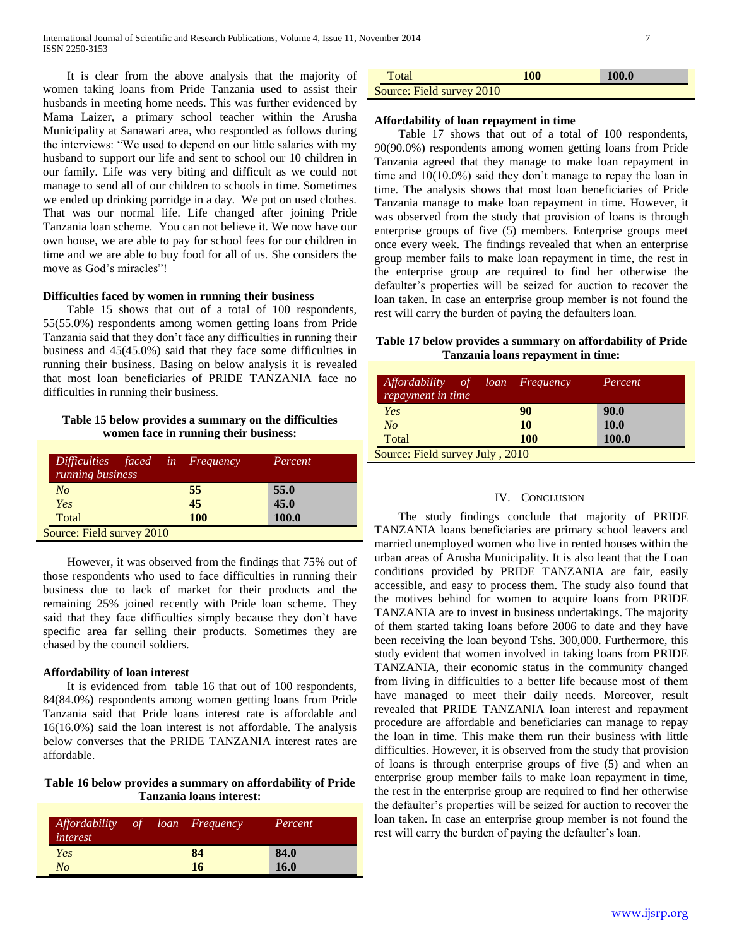It is clear from the above analysis that the majority of women taking loans from Pride Tanzania used to assist their husbands in meeting home needs. This was further evidenced by Mama Laizer, a primary school teacher within the Arusha Municipality at Sanawari area, who responded as follows during the interviews: "We used to depend on our little salaries with my husband to support our life and sent to school our 10 children in our family. Life was very biting and difficult as we could not manage to send all of our children to schools in time. Sometimes we ended up drinking porridge in a day. We put on used clothes. That was our normal life. Life changed after joining Pride Tanzania loan scheme. You can not believe it. We now have our own house, we are able to pay for school fees for our children in time and we are able to buy food for all of us. She considers the move as God's miracles"!

## **Difficulties faced by women in running their business**

 Table 15 shows that out of a total of 100 respondents, 55(55.0%) respondents among women getting loans from Pride Tanzania said that they don't face any difficulties in running their business and 45(45.0%) said that they face some difficulties in running their business. Basing on below analysis it is revealed that most loan beneficiaries of PRIDE TANZANIA face no difficulties in running their business.

## **Table 15 below provides a summary on the difficulties women face in running their business:**

| Difficulties faced in Frequency<br>running business |            | Percent      |
|-----------------------------------------------------|------------|--------------|
| No                                                  | 55         | 55.0         |
| Yes                                                 | 45         | 45.0         |
| Total                                               | <b>100</b> | <b>100.0</b> |
| Source: Field survey 2010                           |            |              |

 However, it was observed from the findings that 75% out of those respondents who used to face difficulties in running their business due to lack of market for their products and the remaining 25% joined recently with Pride loan scheme. They said that they face difficulties simply because they don't have specific area far selling their products. Sometimes they are chased by the council soldiers.

#### **Affordability of loan interest**

 It is evidenced from table 16 that out of 100 respondents, 84(84.0%) respondents among women getting loans from Pride Tanzania said that Pride loans interest rate is affordable and 16(16.0%) said the loan interest is not affordable. The analysis below converses that the PRIDE TANZANIA interest rates are affordable.

#### **Table 16 below provides a summary on affordability of Pride Tanzania loans interest:**

| <i>Affordability</i><br>interest | of | loan Frequency | Percent |
|----------------------------------|----|----------------|---------|
| Yes                              |    | 84             | 84.0    |
| No                               |    | 16             | 16.0    |

| Total                     | 100 | <b>100.0</b> |
|---------------------------|-----|--------------|
| Source: Field survey 2010 |     |              |

#### **Affordability of loan repayment in time**

 Table 17 shows that out of a total of 100 respondents, 90(90.0%) respondents among women getting loans from Pride Tanzania agreed that they manage to make loan repayment in time and 10(10.0%) said they don't manage to repay the loan in time. The analysis shows that most loan beneficiaries of Pride Tanzania manage to make loan repayment in time. However, it was observed from the study that provision of loans is through enterprise groups of five (5) members. Enterprise groups meet once every week. The findings revealed that when an enterprise group member fails to make loan repayment in time, the rest in the enterprise group are required to find her otherwise the defaulter's properties will be seized for auction to recover the loan taken. In case an enterprise group member is not found the rest will carry the burden of paying the defaulters loan.

## **Table 17 below provides a summary on affordability of Pride Tanzania loans repayment in time:**

| Affordability of loan Frequency<br>repayment in time |  |            | Percent      |
|------------------------------------------------------|--|------------|--------------|
| Yes                                                  |  | 90         | 90.0         |
| No                                                   |  | 10         | <b>10.0</b>  |
| Total                                                |  | <b>100</b> | <b>100.0</b> |
| Source: Field survey July, 2010                      |  |            |              |

#### IV. CONCLUSION

 The study findings conclude that majority of PRIDE TANZANIA loans beneficiaries are primary school leavers and married unemployed women who live in rented houses within the urban areas of Arusha Municipality. It is also leant that the Loan conditions provided by PRIDE TANZANIA are fair, easily accessible, and easy to process them. The study also found that the motives behind for women to acquire loans from PRIDE TANZANIA are to invest in business undertakings. The majority of them started taking loans before 2006 to date and they have been receiving the loan beyond Tshs. 300,000. Furthermore, this study evident that women involved in taking loans from PRIDE TANZANIA, their economic status in the community changed from living in difficulties to a better life because most of them have managed to meet their daily needs. Moreover, result revealed that PRIDE TANZANIA loan interest and repayment procedure are affordable and beneficiaries can manage to repay the loan in time. This make them run their business with little difficulties. However, it is observed from the study that provision of loans is through enterprise groups of five (5) and when an enterprise group member fails to make loan repayment in time, the rest in the enterprise group are required to find her otherwise the defaulter's properties will be seized for auction to recover the loan taken. In case an enterprise group member is not found the rest will carry the burden of paying the defaulter's loan.